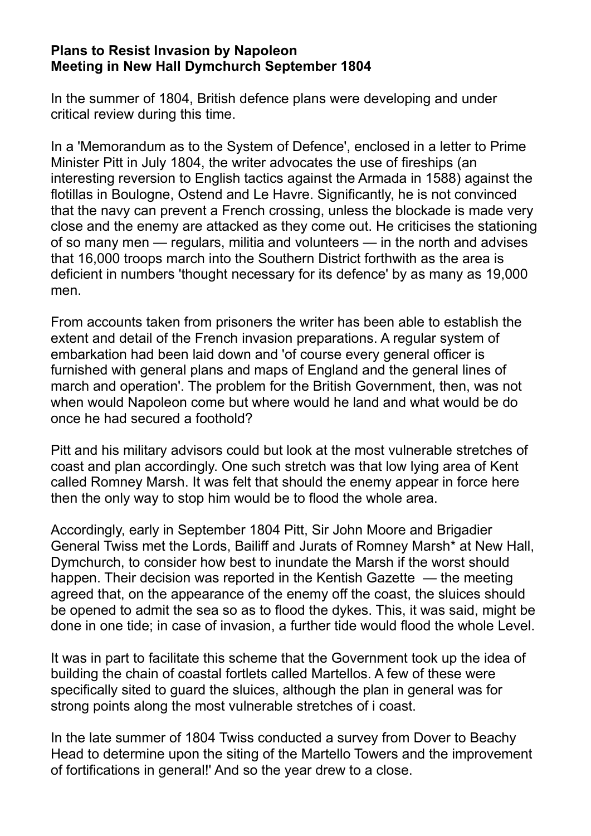## **Plans to Resist Invasion by Napoleon Meeting in New Hall Dymchurch September 1804**

In the summer of 1804, British defence plans were developing and under critical review during this time.

In a 'Memorandum as to the System of Defence', enclosed in a letter to Prime Minister Pitt in July 1804, the writer advocates the use of fireships (an interesting reversion to English tactics against the Armada in 1588) against the flotillas in Boulogne, Ostend and Le Havre. Significantly, he is not convinced that the navy can prevent a French crossing, unless the blockade is made very close and the enemy are attacked as they come out. He criticises the stationing of so many men — regulars, militia and volunteers — in the north and advises that 16,000 troops march into the Southern District forthwith as the area is deficient in numbers 'thought necessary for its defence' by as many as 19,000 men.

From accounts taken from prisoners the writer has been able to establish the extent and detail of the French invasion preparations. A regular system of embarkation had been laid down and 'of course every general officer is furnished with general plans and maps of England and the general lines of march and operation'. The problem for the British Government, then, was not when would Napoleon come but where would he land and what would be do once he had secured a foothold?

Pitt and his military advisors could but look at the most vulnerable stretches of coast and plan accordingly. One such stretch was that low lying area of Kent called Romney Marsh. It was felt that should the enemy appear in force here then the only way to stop him would be to flood the whole area.

Accordingly, early in September 1804 Pitt, Sir John Moore and Brigadier General Twiss met the Lords, Bailiff and Jurats of Romney Marsh\* at New Hall, Dymchurch, to consider how best to inundate the Marsh if the worst should happen. Their decision was reported in the Kentish Gazette — the meeting agreed that, on the appearance of the enemy off the coast, the sluices should be opened to admit the sea so as to flood the dykes. This, it was said, might be done in one tide; in case of invasion, a further tide would flood the whole Level.

It was in part to facilitate this scheme that the Government took up the idea of building the chain of coastal fortlets called Martellos. A few of these were specifically sited to guard the sluices, although the plan in general was for strong points along the most vulnerable stretches of i coast.

In the late summer of 1804 Twiss conducted a survey from Dover to Beachy Head to determine upon the siting of the Martello Towers and the improvement of fortifications in general!' And so the year drew to a close.